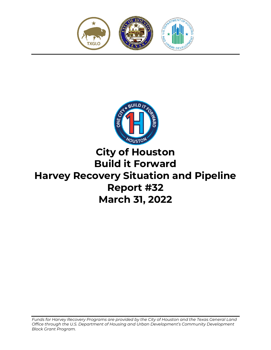



# **City of Houston Build it Forward Harvey Recovery Situation and Pipeline Report #32 March 31, 2022**

*Funds for Harvey Recovery Programs are provided by the City of Houston and the Texas General Land Office through the U.S. Department of Housing and Urban Development's Community Development Block Grant Program.*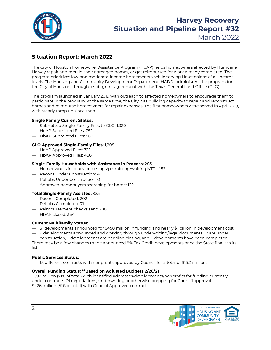

## **Harvey Recovery Situation and Pipeline Report #32**

March 2022

## **Situation Report: March 2022**

The City of Houston Homeowner Assistance Program (HoAP) helps homeowners affected by Hurricane Harvey repair and rebuild their damaged homes, or get reimbursed for work already completed. The program prioritizes low-and moderate-income homeowners, while serving Houstonians of all income levels. The Housing and Community Development Department (HCDD) administers the program for the City of Houston, through a sub-grant agreement with the Texas General Land Office (GLO)

The program launched in January 2019 with outreach to affected homeowners to encourage them to participate in the program. At the same time, the City was building capacity to repair and reconstruct homes and reimburse homeowners for repair expenses. The first homeowners were served in April 2019, with steady ramp up since then.

#### **Single Family Current Status:**

- Submitted Single-Family Files to GLO: 1,320
- HoAP Submitted Files: 752
- HbAP Submitted Files: 568

#### **GLO Approved Single-Family Files:** 1,208

- HoAP Approved Files: 722
- $-$  HbAP Approved Files: 486

#### **Single-Family Households with Assistance in Process:** 283

- $-$  Homeowners in contract closings/permitting/waiting NTPs: 152
- $-$  Recons Under Construction: 4
- Rehabs Under Construction: 0
- Approved homebuyers searching for home: 122

#### **Total Single-Family Assisted:** 925

- Recons Completed: 202
- $-$  Rehabs Completed: 71
- Reimbursement checks sent: 288
- HbAP closed: 364

#### **Current Multifamily Status:**

- 31 developments announced for \$450 million in funding and nearly \$1 billion in development cost.
- 6 developments announced and working through underwriting/legal documents, 17 are under construction, 2 developments are pending closing, and 6 developments have been completed.

There may be a few changes to the announced 9% Tax Credit developments once the State finalizes its list.

#### **Public Services Status:**

 $-$  18 different contracts with nonprofits approved by Council for a total of \$15.2 million.

#### **Overall Funding Status: \*\*Based on Adjusted Budgets 2/26/21**

\$592 million (71% of total) with identified addresses/developments/nonprofits for funding currently under contract/LOI negotiations, underwriting or otherwise prepping for Council approval. \$426 million (51% of total) with Council Approved contract

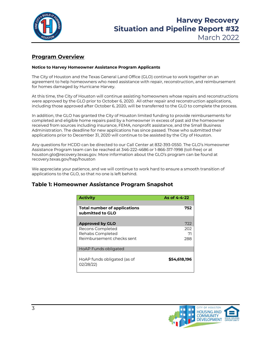

### **Program Overview**

#### **Notice to Harvey Homeowner Assistance Program Applicants**

The City of Houston and the Texas General Land Office (GLO) continue to work together on an agreement to help homeowners who need assistance with repair, reconstruction, and reimbursement for homes damaged by Hurricane Harvey.

At this time, the City of Houston will continue assisting homeowners whose repairs and reconstructions were approved by the GLO prior to October 6, 2020. All other repair and reconstruction applications, including those approved after October 6, 2020, will be transferred to the GLO to complete the process.

In addition, the GLO has granted the City of Houston limited funding to provide reimbursements for completed and eligible home repairs paid by a homeowner in excess of past aid the homeowner received from sources including insurance, FEMA, nonprofit assistance, and the Small Business Administration. The deadline for new applications has since passed. Those who submitted their applications prior to December 31, 2020 will continue to be assisted by the City of Houston.

Any questions for HCDD can be directed to our Call Center at 832-393-0550. The GLO's Homeowner Assistance Program team can be reached at 346-222-4686 or 1-866-317-1998 (toll-free) or at houston.glo@recovery.texas.gov. More information about the GLO's program can be found at recovery.texas.gov/hap/houston

We appreciate your patience, and we will continue to work hard to ensure a smooth transition of applications to the GLO, so that no one is left behind.

#### **Table 1: Homeowner Assistance Program Snapshot**

| <b>Activity</b>                                         | As of $4 - 4 - 22$ |
|---------------------------------------------------------|--------------------|
| <b>Total number of applications</b><br>submitted to GLO | 752                |
| <b>Approved by GLO</b>                                  | 722                |
| Recons Completed<br>Rehabs Completed                    | 202                |
| Reimbursement checks sent                               | 71<br>288          |
| HoAP Funds obligated                                    |                    |
| HoAP funds obligated (as of<br>02/28/22)                | \$54,618,196       |

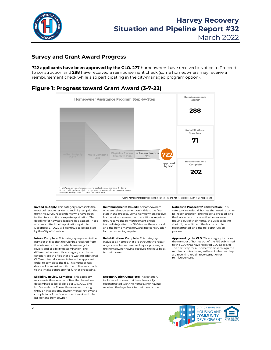

March 2022

#### **Survey and Grant Award Progress**

**722 applicants have been approved by the GLO. 277** homeowners have received a Notice to Proceed to construction and **288** have received a reimbursement check (some homeowners may receive a reimbursement check while also participating in the city-managed program option).

#### **Figure 1: Progress toward Grant Award (3-7-22)**



**Invited to Apply:** This category represents the most vulnerable residents and highest priorities from the survey respondents who have been invited to submit a complete application. The deadline for new applications has passed. Those who submitted their applications prior to December 31, 2020 will continue to be assisted by the City of Houston.

**Intake Complete:** This category represents the number of files that the City has received from the intake contractor, which are ready for review and eligibility determination. The difference between this category and the next category are the files that are waiting additional GLO-required documents from the applicant in order to complete the file. This number has dropped from last month due to files sent back to the intake contractor for further processing.

**Eligibility Review Complete:** This category represents the number of files that have been determined to be eligible per City, GLO and HUD standards. These files are now moving through inspections, environmental review and completion of the final scope of work with the builder and homeowner.

**Reimbursements Issued:** For homeowners who are reimbursement only, this is the final step in the process. Some homeowners receive both a reimbursement and additional repair, so they receive the reimbursement check immediately after the GLO issues the approval, and the home moves forward into construction for the remaining repairs.

**Rehabilitations Complete:** This category includes all homes that are through the repair only or reimbursement and repair process, with the homeowner having received the keys back to their home.

**Reconstruction Complete:** This category includes all homes that have been fully reconstructed with the homeowner having received the keys back to their new home.

**Notices to Proceed w/ Construction:** This category includes all homes that need repair or full reconstruction. The notice to proceed is to the builder, and involves the homeowner moving out of their home, the utilities being shut off, demolition if the home is to be reconstructed, and the full construction process.

**Approved by the GLO:** This category includes the number of homes out of the 752 submitted to the GLO that have received GLO approval. The next step for all homeowners is to sign the required contracts, regardless of whether they are receiving repair, reconstruction or reimbursement.

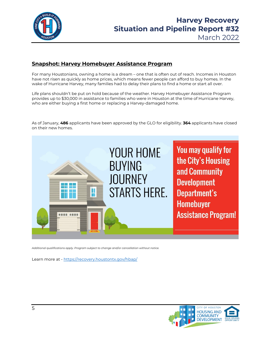

## **Harvey Recovery Situation and Pipeline Report #32**

March 2022

### **Snapshot: Harvey Homebuyer Assistance Program**

For many Houstonians, owning a home is a dream – one that is often out of reach. Incomes in Houston have not risen as quickly as home prices, which means fewer people can afford to buy homes. In the wake of Hurricane Harvey, many families had to delay their plans to find a home or start all over.

Life plans shouldn't be put on hold because of the weather. Harvey Homebuyer Assistance Program provides up to \$30,000 in assistance to families who were in Houston at the time of Hurricane Harvey, who are either buying a first home or replacing a Harvey-damaged home.

As of January, **486** applicants have been approved by the GLO for eligibility. **364** applicants have closed on their new homes.



*Additional qualifications apply. Program subject to change and/or cancellation without notice.* 

Learn more at - https://recovery.houstontx.gov/hbap/

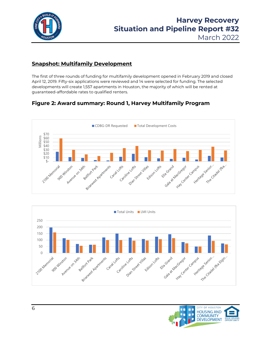

March 2022

## **Snapshot: Multifamily Development**

The first of three rounds of funding for multifamily development opened in February 2019 and closed April 12, 2019. Fifty-six applications were reviewed and 14 were selected for funding. The selected developments will create 1,557 apartments in Houston, the majority of which will be rented at guaranteed-affordable rates to qualified renters.

## **Figure 2: Award summary: Round 1, Harvey Multifamily Program**





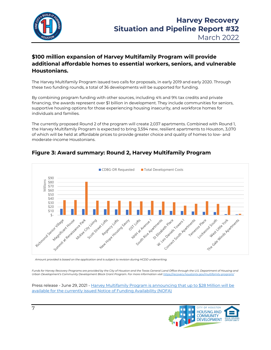

## **\$100 million expansion of Harvey Multifamily Program will provide additional affordable homes to essential workers, seniors, and vulnerable Houstonians.**

The Harvey Multifamily Program issued two calls for proposals, in early 2019 and early 2020. Through these two funding rounds, a total of 36 developments will be supported for funding.

By combining program funding with other sources, including 4% and 9% tax credits and private financing, the awards represent over \$1 billion in development. They include communities for seniors, supportive housing options for those experiencing housing insecurity, and workforce homes for individuals and families.

The currently proposed Round 2 of the program will create 2,037 apartments. Combined with Round 1, the Harvey Multifamily Program is expected to bring 3,594 new, resilient apartments to Houston, 3,070 of which will be held at affordable prices to provide greater choice and quality of homes to low- and moderate-income Houstonians.



## **Figure 3: Award summary: Round 2, Harvey Multifamily Program**

*Amount provided is based on the application and is subject to revision during HCDD underwriting.*

Funds for Harvey Recovery Programs are provided by the City of Houston and the Texas General Land Office through the U.S. Department of Housing and *Urban Development's Community Development Block Grant Program. For more information visi[t https://recovery.houstontx.gov/multifamily-program/](https://recovery.houstontx.gov/multifamily-program/)* 

Press release - June 29, 2021 - [Harvey Multifamily Program is announcing that up to \\$28 Million will be](https://recovery.houstontx.gov/harvey-multifamily-program-is-announcing-that-up-to-28-million-will-be-available-for-the-currently-issued-notice-of-funding-availability-nofa/)  [available for the currently issued Notice of Funding Availability \(NOFA\)](https://recovery.houstontx.gov/harvey-multifamily-program-is-announcing-that-up-to-28-million-will-be-available-for-the-currently-issued-notice-of-funding-availability-nofa/)

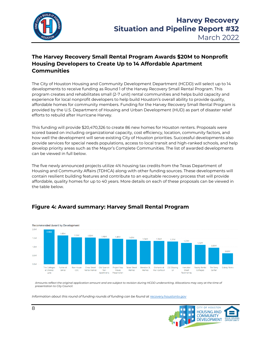

## **The Harvey Recovery Small Rental Program Awards \$20M to Nonprofit Housing Developers to Create Up to 14 Affordable Apartment Communities**

The City of Houston Housing and Community Development Department (HCDD) will select up to 14 developments to receive funding as Round 1 of the Harvey Recovery Small Rental Program. This program creates and rehabilitates small (2-7 unit) rental communities and helps build capacity and experience for local nonprofit developers to help build Houston's overall ability to provide quality, affordable homes for community members. Funding for the Harvey Recovery Small Rental Program is provided by the U.S. Department of Housing and Urban Development (HUD) as part of disaster relief efforts to rebuild after Hurricane Harvey.

This funding will provide \$20,470,326 to create 86 new homes for Houston renters. Proposals were scored based on including organizational capacity, cost efficiency, location, community factors, and how well the development will serve existing City of Houston priorities. Successful developments also provide services for special needs populations, access to local transit and high-ranked schools, and help develop priority areas such as the Mayor's Complete Communities. The list of awarded developments can be viewed in full below.

The five newly announced projects utilize 4% housing tax credits from the Texas Department of Housing and Community Affairs (TDHCA) along with other funding sources. These developments will contain resilient building features and contribute to an equitable recovery process that will provide affordable, quality homes for up to 40 years. More details on each of these proposals can be viewed in the table below.

### **Figure 4: Award summary: Harvey Small Rental Program**



*Amounts reflect the original application amount and are subject to revision during HCDD underwriting. Allocations may vary at the time of presentation to City Council.*

*Information about this round of funding rounds of funding can be found a[t recovery.houstontx.gov](https://recovery.houstontx.gov/hsrp/)*